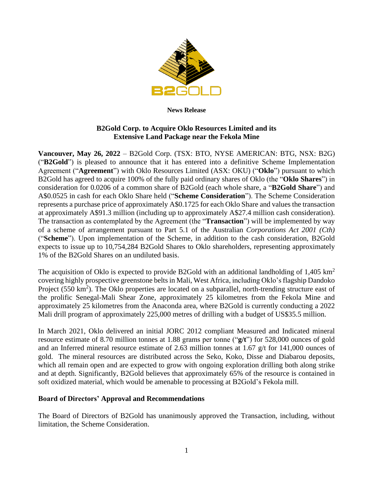

**News Release**

# **B2Gold Corp. to Acquire Oklo Resources Limited and its Extensive Land Package near the Fekola Mine**

**Vancouver, May 26, 2022** – B2Gold Corp. (TSX: BTO, NYSE AMERICAN: BTG, NSX: B2G) ("**B2Gold**") is pleased to announce that it has entered into a definitive Scheme Implementation Agreement ("**Agreement**") with Oklo Resources Limited (ASX: OKU) ("**Oklo**") pursuant to which B2Gold has agreed to acquire 100% of the fully paid ordinary shares of Oklo (the "**Oklo Shares**") in consideration for 0.0206 of a common share of B2Gold (each whole share, a "**B2Gold Share**") and A\$0.0525 in cash for each Oklo Share held ("**Scheme Consideration**"). The Scheme Consideration represents a purchase price of approximately A\$0.1725 for each Oklo Share and values the transaction at approximately A\$91.3 million (including up to approximately A\$27.4 million cash consideration). The transaction as contemplated by the Agreement (the "**Transaction**") will be implemented by way of a scheme of arrangement pursuant to Part 5.1 of the Australian *Corporations Act 2001 (Cth)* ("**Scheme**"). Upon implementation of the Scheme, in addition to the cash consideration, B2Gold expects to issue up to 10,754,284 B2Gold Shares to Oklo shareholders, representing approximately 1% of the B2Gold Shares on an undiluted basis.

The acquisition of Oklo is expected to provide B2Gold with an additional landholding of 1,405 km<sup>2</sup> covering highly prospective greenstone belts in Mali, West Africa, including Oklo's flagship Dandoko Project (550  $\text{km}^2$ ). The Oklo properties are located on a subparallel, north-trending structure east of the prolific Senegal-Mali Shear Zone, approximately 25 kilometres from the Fekola Mine and approximately 25 kilometres from the Anaconda area, where B2Gold is currently conducting a 2022 Mali drill program of approximately 225,000 metres of drilling with a budget of US\$35.5 million.

In March 2021, Oklo delivered an initial JORC 2012 compliant Measured and Indicated mineral resource estimate of 8.70 million tonnes at 1.88 grams per tonne ("**g/t**") for 528,000 ounces of gold and an Inferred mineral resource estimate of 2.63 million tonnes at 1.67  $g/t$  for 141,000 ounces of gold. The mineral resources are distributed across the Seko, Koko, Disse and Diabarou deposits, which all remain open and are expected to grow with ongoing exploration drilling both along strike and at depth. Significantly, B2Gold believes that approximately 65% of the resource is contained in soft oxidized material, which would be amenable to processing at B2Gold's Fekola mill.

### **Board of Directors' Approval and Recommendations**

The Board of Directors of B2Gold has unanimously approved the Transaction, including, without limitation, the Scheme Consideration.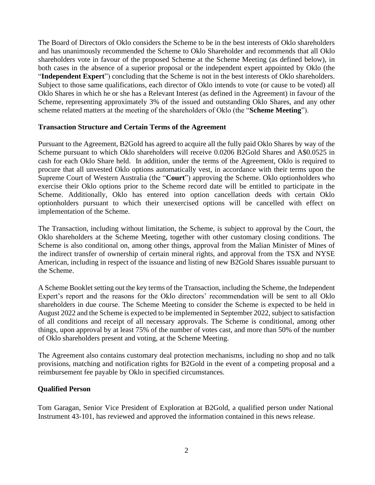The Board of Directors of Oklo considers the Scheme to be in the best interests of Oklo shareholders and has unanimously recommended the Scheme to Oklo Shareholder and recommends that all Oklo shareholders vote in favour of the proposed Scheme at the Scheme Meeting (as defined below), in both cases in the absence of a superior proposal or the independent expert appointed by Oklo (the "**Independent Expert**") concluding that the Scheme is not in the best interests of Oklo shareholders. Subject to those same qualifications, each director of Oklo intends to vote (or cause to be voted) all Oklo Shares in which he or she has a Relevant Interest (as defined in the Agreement) in favour of the Scheme, representing approximately 3% of the issued and outstanding Oklo Shares, and any other scheme related matters at the meeting of the shareholders of Oklo (the "**Scheme Meeting**").

### **Transaction Structure and Certain Terms of the Agreement**

Pursuant to the Agreement, B2Gold has agreed to acquire all the fully paid Oklo Shares by way of the Scheme pursuant to which Oklo shareholders will receive 0.0206 B2Gold Shares and A\$0.0525 in cash for each Oklo Share held. In addition, under the terms of the Agreement, Oklo is required to procure that all unvested Oklo options automatically vest, in accordance with their terms upon the Supreme Court of Western Australia (the "**Court**") approving the Scheme. Oklo optionholders who exercise their Oklo options prior to the Scheme record date will be entitled to participate in the Scheme. Additionally, Oklo has entered into option cancellation deeds with certain Oklo optionholders pursuant to which their unexercised options will be cancelled with effect on implementation of the Scheme.

The Transaction, including without limitation, the Scheme, is subject to approval by the Court, the Oklo shareholders at the Scheme Meeting, together with other customary closing conditions. The Scheme is also conditional on, among other things, approval from the Malian Minister of Mines of the indirect transfer of ownership of certain mineral rights, and approval from the TSX and NYSE American, including in respect of the issuance and listing of new B2Gold Shares issuable pursuant to the Scheme.

A Scheme Booklet setting out the key terms of the Transaction, including the Scheme, the Independent Expert's report and the reasons for the Oklo directors' recommendation will be sent to all Oklo shareholders in due course. The Scheme Meeting to consider the Scheme is expected to be held in August 2022 and the Scheme is expected to be implemented in September 2022, subject to satisfaction of all conditions and receipt of all necessary approvals. The Scheme is conditional, among other things, upon approval by at least 75% of the number of votes cast, and more than 50% of the number of Oklo shareholders present and voting, at the Scheme Meeting.

The Agreement also contains customary deal protection mechanisms, including no shop and no talk provisions, matching and notification rights for B2Gold in the event of a competing proposal and a reimbursement fee payable by Oklo in specified circumstances.

### **Qualified Person**

Tom Garagan, Senior Vice President of Exploration at B2Gold, a qualified person under National Instrument 43-101, has reviewed and approved the information contained in this news release.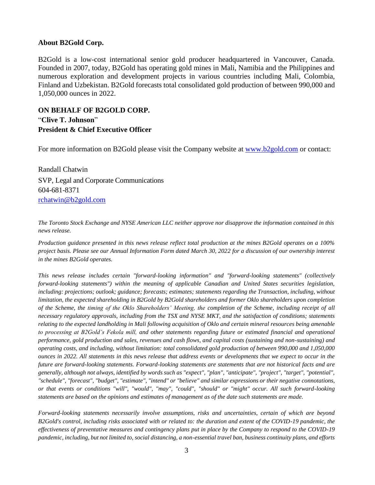## **About B2Gold Corp.**

B2Gold is a low-cost international senior gold producer headquartered in Vancouver, Canada. Founded in 2007, today, B2Gold has operating gold mines in Mali, Namibia and the Philippines and numerous exploration and development projects in various countries including Mali, Colombia, Finland and Uzbekistan. B2Gold forecasts total consolidated gold production of between 990,000 and 1,050,000 ounces in 2022.

**ON BEHALF OF B2GOLD CORP.** "**Clive T. Johnson**" **President & Chief Executive Officer**

For more information on B2Gold please visit the Company website at [www.b2gold.com](http://www.b2gold.com/) or contact:

Randall Chatwin SVP, Legal and Corporate Communications 604-681-8371 [rchatwin@b2gold.com](mailto:rchatwin@b2gold.com)

*The Toronto Stock Exchange and NYSE American LLC neither approve nor disapprove the information contained in this news release.* 

*Production guidance presented in this news release reflect total production at the mines B2Gold operates on a 100% project basis. Please see our Annual Information Form dated March 30, 2022 for a discussion of our ownership interest in the mines B2Gold operates.*

*This news release includes certain "forward-looking information" and "forward-looking statements" (collectively forward-looking statements") within the meaning of applicable Canadian and United States securities legislation, including: projections; outlook; guidance; forecasts; estimates; statements regarding the Transaction, including, without limitation, the expected shareholding in B2Gold by B2Gold shareholders and former Oklo shareholders upon completion of the Scheme, the timing of the Oklo Shareholders' Meeting, the completion of the Scheme, including receipt of all necessary regulatory approvals, including from the TSX and NYSE MKT, and the satisfaction of conditions; statements relating to the expected landholding in Mali following acquisition of Oklo and certain mineral resources being amenable to processing at B2Gold's Fekola mill, and other statements regarding future or estimated financial and operational performance, gold production and sales, revenues and cash flows, and capital costs (sustaining and non-sustaining) and operating costs, and including, without limitation: total consolidated gold production of between 990,000 and 1,050,000 ounces in 2022. All statements in this news release that address events or developments that we expect to occur in the future are forward-looking statements. Forward-looking statements are statements that are not historical facts and are generally, although not always, identified by words such as "expect", "plan", "anticipate", "project", "target", "potential", "schedule", "forecast", "budget", "estimate", "intend" or "believe" and similar expressions or their negative connotations, or that events or conditions "will", "would", "may", "could", "should" or "might" occur. All such forward-looking statements are based on the opinions and estimates of management as of the date such statements are made.*

*Forward-looking statements necessarily involve assumptions, risks and uncertainties, certain of which are beyond B2Gold's control, including risks associated with or related to: the duration and extent of the COVID-19 pandemic, the effectiveness of preventative measures and contingency plans put in place by the Company to respond to the COVID-19 pandemic, including, but not limited to, social distancing, a non-essential travel ban, business continuity plans, and efforts*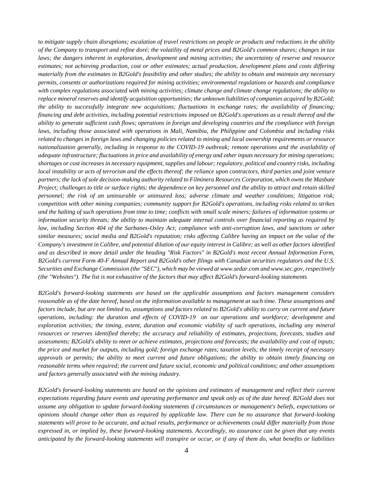*to mitigate supply chain disruptions; escalation of travel restrictions on people or products and reductions in the ability of the Company to transport and refine doré; the volatility of metal prices and B2Gold's common shares; changes in tax laws; the dangers inherent in exploration, development and mining activities; the uncertainty of reserve and resource estimates; not achieving production, cost or other estimates; actual production, development plans and costs differing materially from the estimates in B2Gold's feasibility and other studies; the ability to obtain and maintain any necessary permits, consents or authorizations required for mining activities; environmental regulations or hazards and compliance with complex regulations associated with mining activities; climate change and climate change regulations; the ability to replace mineral reserves and identify acquisition opportunities; the unknown liabilities of companies acquired by B2Gold; the ability to successfully integrate new acquisitions; fluctuations in exchange rates; the availability of financing; financing and debt activities, including potential restrictions imposed on B2Gold's operations as a result thereof and the ability to generate sufficient cash flows; operations in foreign and developing countries and the compliance with foreign laws, including those associated with operations in Mali, Namibia, the Philippine and Colombia and including risks related to changes in foreign laws and changing policies related to mining and local ownership requirements or resource nationalization generally, including in response to the COVID-19 outbreak; remote operations and the availability of adequate infrastructure; fluctuations in price and availability of energy and other inputs necessary for mining operations; shortages or cost increases in necessary equipment, supplies and labour; regulatory, political and country risks, including local instability or acts of terrorism and the effects thereof; the reliance upon contractors, third parties and joint venture partners; the lack of sole decision-making authority related to Filminera Resources Corporation, which owns the Masbate Project; challenges to title or surface rights; the dependence on key personnel and the ability to attract and retain skilled personnel; the risk of an uninsurable or uninsured loss; adverse climate and weather conditions; litigation risk; competition with other mining companies; community support for B2Gold's operations, including risks related to strikes and the halting of such operations from time to time; conflicts with small scale miners; failures of information systems or information security threats; the ability to maintain adequate internal controls over financial reporting as required by law, including Section 404 of the Sarbanes-Oxley Act; compliance with anti-corruption laws, and sanctions or other similar measures; social media and B2Gold's reputation; risks affecting Calibre having an impact on the value of the Company's investment in Calibre, and potential dilution of our equity interest in Calibre; as well as other factors identified and as described in more detail under the heading "Risk Factors" in B2Gold's most recent Annual Information Form, B2Gold's current Form 40-F Annual Report and B2Gold's other filings with Canadian securities regulators and the U.S. Securities and Exchange Commission (the "SEC"), which may be viewed at www.sedar.com and www.sec.gov, respectively (the "Websites"). The list is not exhaustive of the factors that may affect B2Gold's forward-looking statements*

*B2Gold's forward-looking statements are based on the applicable assumptions and factors management considers reasonable as of the date hereof, based on the information available to management at such time. These assumptions and factors include, but are not limited to, assumptions and factors related to B2Gold's ability to carry on current and future operations, including: the duration and effects of COVID-19 on our operations and workforce; development and exploration activities; the timing, extent, duration and economic viability of such operations, including any mineral resources or reserves identified thereby; the accuracy and reliability of estimates, projections, forecasts, studies and assessments; B2Gold's ability to meet or achieve estimates, projections and forecasts; the availability and cost of inputs; the price and market for outputs, including gold; foreign exchange rates; taxation levels; the timely receipt of necessary approvals or permits; the ability to meet current and future obligations; the ability to obtain timely financing on reasonable terms when required; the current and future social, economic and political conditions; and other assumptions and factors generally associated with the mining industry.*

*B2Gold's forward-looking statements are based on the opinions and estimates of management and reflect their current expectations regarding future events and operating performance and speak only as of the date hereof. B2Gold does not assume any obligation to update forward-looking statements if circumstances or management's beliefs, expectations or opinions should change other than as required by applicable law. There can be no assurance that forward-looking statements will prove to be accurate, and actual results, performance or achievements could differ materially from those expressed in, or implied by, these forward-looking statements. Accordingly, no assurance can be given that any events anticipated by the forward-looking statements will transpire or occur, or if any of them do, what benefits or liabilities*